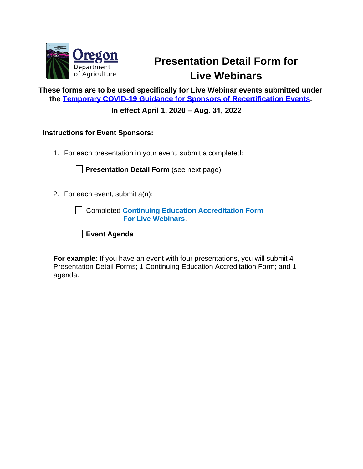

## **Presentation Detail Form for Live Webinars**

**These forms are to be used specifically for Live Webinar events submitted under the [Temporary COVID-19 Guidance for Sponsors of Recertification Events.](https://www.oregon.gov/ODA/programs/Pesticides/Licensing/Documents/PesticideEventSponsorGuidanceCOVID-19.pdf)**

**In effect April 1, 2020 – Aug. 31, 2022**

**Instructions for Event Sponsors:** 

1. For each presentation in your event, submit a completed:

**Presentation Detail Form** (see next page)

2. For each event, submit a(n):

Completed **[Continuing Education Accreditation Form](https://www.oregon.gov/ODA/shared/Documents/Publications/PesticidesPARC/RecertSponsorRequestFormLiveWeb.pdf) For Live Webinars**.



**For example:** If you have an event with four presentations, you will submit 4 Presentation Detail Forms; 1 Continuing Education Accreditation Form; and 1 agenda.